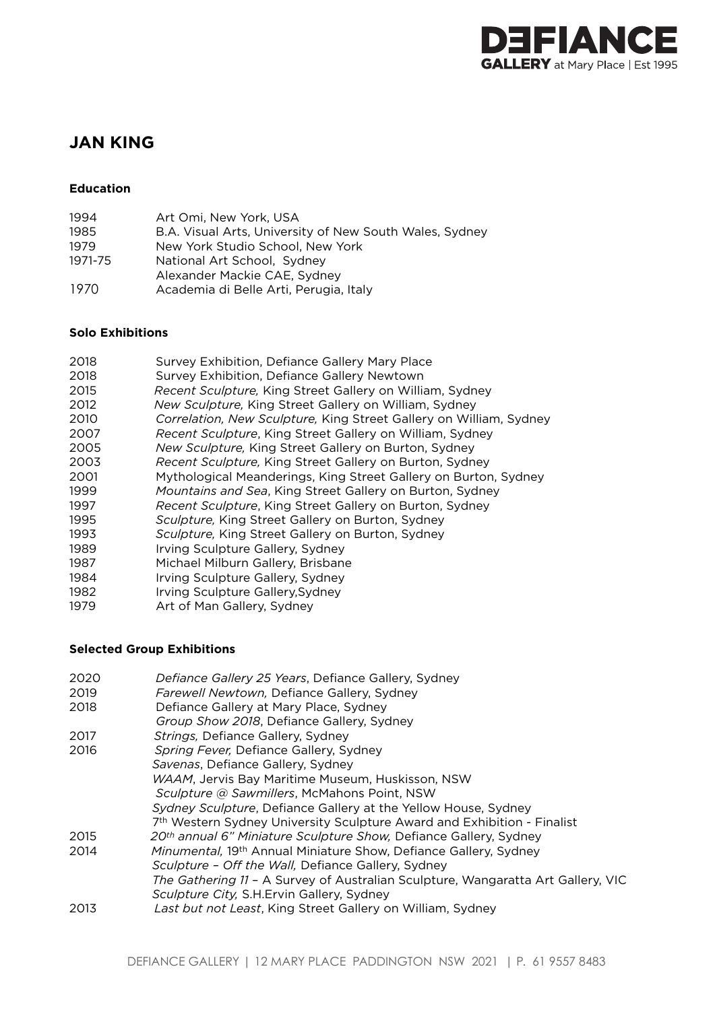

# **JAN KING**

# **Education**

| 1994    | Art Omi. New York, USA                                  |
|---------|---------------------------------------------------------|
| 1985    | B.A. Visual Arts, University of New South Wales, Sydney |
| 1979    | New York Studio School. New York                        |
| 1971-75 | National Art School, Sydney                             |
|         | Alexander Mackie CAE, Sydney                            |
| 1970    | Academia di Belle Arti, Perugia, Italy                  |

### **Solo Exhibitions**

| 2018 | Survey Exhibition, Defiance Gallery Mary Place                     |
|------|--------------------------------------------------------------------|
| 2018 | Survey Exhibition, Defiance Gallery Newtown                        |
| 2015 | Recent Sculpture, King Street Gallery on William, Sydney           |
| 2012 | New Sculpture, King Street Gallery on William, Sydney              |
| 2010 | Correlation, New Sculpture, King Street Gallery on William, Sydney |
| 2007 | Recent Sculpture, King Street Gallery on William, Sydney           |
| 2005 | New Sculpture, King Street Gallery on Burton, Sydney               |
| 2003 | Recent Sculpture, King Street Gallery on Burton, Sydney            |
| 2001 | Mythological Meanderings, King Street Gallery on Burton, Sydney    |
| 1999 | Mountains and Sea, King Street Gallery on Burton, Sydney           |
| 1997 | Recent Sculpture, King Street Gallery on Burton, Sydney            |
| 1995 | Sculpture, King Street Gallery on Burton, Sydney                   |
| 1993 | Sculpture, King Street Gallery on Burton, Sydney                   |
| 1989 | Irving Sculpture Gallery, Sydney                                   |
| 1987 | Michael Milburn Gallery, Brisbane                                  |
| 1984 | Irving Sculpture Gallery, Sydney                                   |
| 1982 | Irving Sculpture Gallery, Sydney                                   |
| 1979 | Art of Man Gallery, Sydney                                         |

# **Selected Group Exhibitions**

| 2020 | Defiance Gallery 25 Years, Defiance Gallery, Sydney                              |
|------|----------------------------------------------------------------------------------|
| 2019 | Farewell Newtown, Defiance Gallery, Sydney                                       |
| 2018 | Defiance Gallery at Mary Place, Sydney                                           |
|      | Group Show 2018, Defiance Gallery, Sydney                                        |
| 2017 | Strings, Defiance Gallery, Sydney                                                |
| 2016 | Spring Fever, Defiance Gallery, Sydney                                           |
|      | Savenas, Defiance Gallery, Sydney                                                |
|      | WAAM, Jervis Bay Maritime Museum, Huskisson, NSW                                 |
|      | Sculpture @ Sawmillers, McMahons Point, NSW                                      |
|      | Sydney Sculpture, Defiance Gallery at the Yellow House, Sydney                   |
|      | 7th Western Sydney University Sculpture Award and Exhibition - Finalist          |
| 2015 | 20th annual 6" Miniature Sculpture Show, Defiance Gallery, Sydney                |
| 2014 | Minumental, 19th Annual Miniature Show, Defiance Gallery, Sydney                 |
|      | Sculpture - Off the Wall, Defiance Gallery, Sydney                               |
|      | The Gathering 11 - A Survey of Australian Sculpture, Wangaratta Art Gallery, VIC |
|      | Sculpture City, S.H. Ervin Gallery, Sydney                                       |
| 2013 | Last but not Least, King Street Gallery on William, Sydney                       |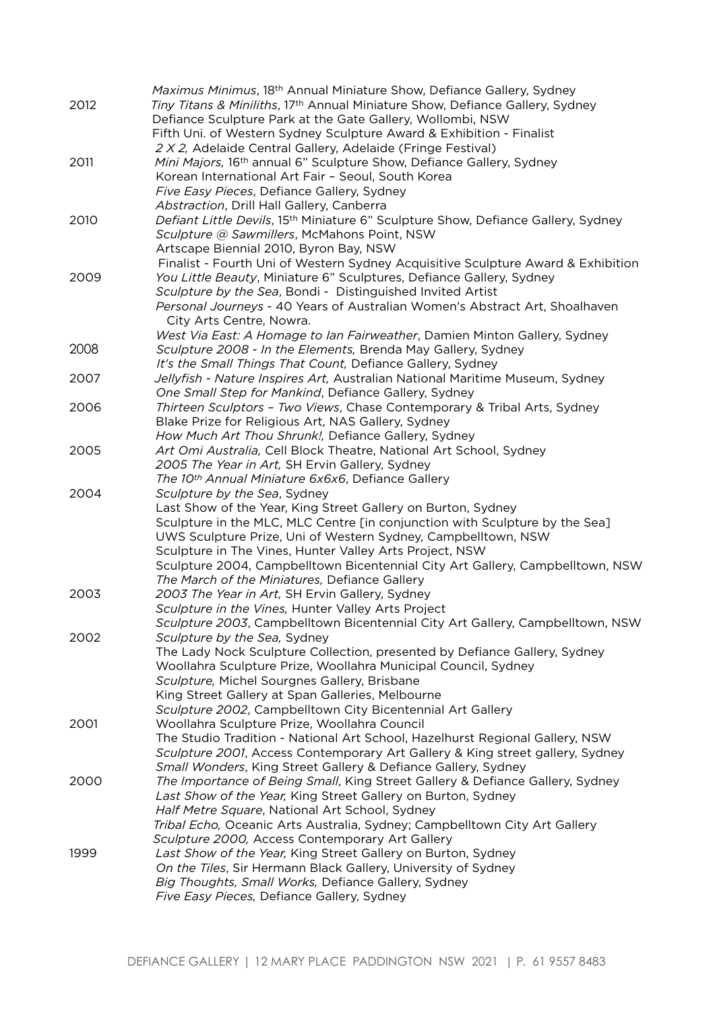|      | Maximus Minimus, 18 <sup>th</sup> Annual Miniature Show, Defiance Gallery, Sydney                                          |
|------|----------------------------------------------------------------------------------------------------------------------------|
| 2012 | Tiny Titans & Miniliths, 17th Annual Miniature Show, Defiance Gallery, Sydney                                              |
|      | Defiance Sculpture Park at the Gate Gallery, Wollombi, NSW                                                                 |
|      | Fifth Uni. of Western Sydney Sculpture Award & Exhibition - Finalist                                                       |
|      | 2 X 2, Adelaide Central Gallery, Adelaide (Fringe Festival)                                                                |
| 2011 | Mini Majors, 16th annual 6" Sculpture Show, Defiance Gallery, Sydney                                                       |
|      | Korean International Art Fair - Seoul, South Korea                                                                         |
|      | Five Easy Pieces, Defiance Gallery, Sydney                                                                                 |
|      | Abstraction, Drill Hall Gallery, Canberra                                                                                  |
| 2010 | Defiant Little Devils, 15th Miniature 6" Sculpture Show, Defiance Gallery, Sydney                                          |
|      | Sculpture @ Sawmillers, McMahons Point, NSW                                                                                |
|      | Artscape Biennial 2010, Byron Bay, NSW                                                                                     |
|      | Finalist - Fourth Uni of Western Sydney Acquisitive Sculpture Award & Exhibition                                           |
| 2009 | You Little Beauty, Miniature 6" Sculptures, Defiance Gallery, Sydney                                                       |
|      | Sculpture by the Sea, Bondi - Distinguished Invited Artist                                                                 |
|      | Personal Journeys - 40 Years of Australian Women's Abstract Art, Shoalhaven                                                |
|      | City Arts Centre, Nowra.                                                                                                   |
| 2008 | West Via East: A Homage to lan Fairweather, Damien Minton Gallery, Sydney                                                  |
|      | Sculpture 2008 - In the Elements, Brenda May Gallery, Sydney<br>It's the Small Things That Count, Defiance Gallery, Sydney |
| 2007 | Jellyfish - Nature Inspires Art, Australian National Maritime Museum, Sydney                                               |
|      | One Small Step for Mankind, Defiance Gallery, Sydney                                                                       |
| 2006 | Thirteen Sculptors - Two Views, Chase Contemporary & Tribal Arts, Sydney                                                   |
|      | Blake Prize for Religious Art, NAS Gallery, Sydney                                                                         |
|      | How Much Art Thou Shrunk!, Defiance Gallery, Sydney                                                                        |
| 2005 | Art Omi Australia, Cell Block Theatre, National Art School, Sydney                                                         |
|      | 2005 The Year in Art, SH Ervin Gallery, Sydney                                                                             |
|      | The 10th Annual Miniature 6x6x6, Defiance Gallery                                                                          |
| 2004 | Sculpture by the Sea, Sydney                                                                                               |
|      | Last Show of the Year, King Street Gallery on Burton, Sydney                                                               |
|      | Sculpture in the MLC, MLC Centre [in conjunction with Sculpture by the Sea]                                                |
|      | UWS Sculpture Prize, Uni of Western Sydney, Campbelltown, NSW                                                              |
|      | Sculpture in The Vines, Hunter Valley Arts Project, NSW                                                                    |
|      | Sculpture 2004, Campbelltown Bicentennial City Art Gallery, Campbelltown, NSW                                              |
|      | The March of the Miniatures, Defiance Gallery                                                                              |
| 2003 | 2003 The Year in Art, SH Ervin Gallery, Sydney                                                                             |
|      | Sculpture in the Vines, Hunter Valley Arts Project                                                                         |
|      | Sculpture 2003, Campbelltown Bicentennial City Art Gallery, Campbelltown, NSW                                              |
| 2002 | Sculpture by the Sea, Sydney                                                                                               |
|      | The Lady Nock Sculpture Collection, presented by Defiance Gallery, Sydney                                                  |
|      | Woollahra Sculpture Prize, Woollahra Municipal Council, Sydney<br>Sculpture, Michel Sourgnes Gallery, Brisbane             |
|      | King Street Gallery at Span Galleries, Melbourne                                                                           |
|      | Sculpture 2002, Campbelltown City Bicentennial Art Gallery                                                                 |
| 2001 | Woollahra Sculpture Prize, Woollahra Council                                                                               |
|      | The Studio Tradition - National Art School, Hazelhurst Regional Gallery, NSW                                               |
|      | Sculpture 2001, Access Contemporary Art Gallery & King street gallery, Sydney                                              |
|      | Small Wonders, King Street Gallery & Defiance Gallery, Sydney                                                              |
| 2000 | The Importance of Being Small, King Street Gallery & Defiance Gallery, Sydney                                              |
|      | Last Show of the Year, King Street Gallery on Burton, Sydney                                                               |
|      | Half Metre Square, National Art School, Sydney                                                                             |
|      | Tribal Echo, Oceanic Arts Australia, Sydney; Campbelltown City Art Gallery                                                 |
|      | Sculpture 2000, Access Contemporary Art Gallery                                                                            |
|      |                                                                                                                            |
| 1999 | Last Show of the Year, King Street Gallery on Burton, Sydney                                                               |
|      | On the Tiles, Sir Hermann Black Gallery, University of Sydney                                                              |
|      | Big Thoughts, Small Works, Defiance Gallery, Sydney<br>Five Easy Pieces, Defiance Gallery, Sydney                          |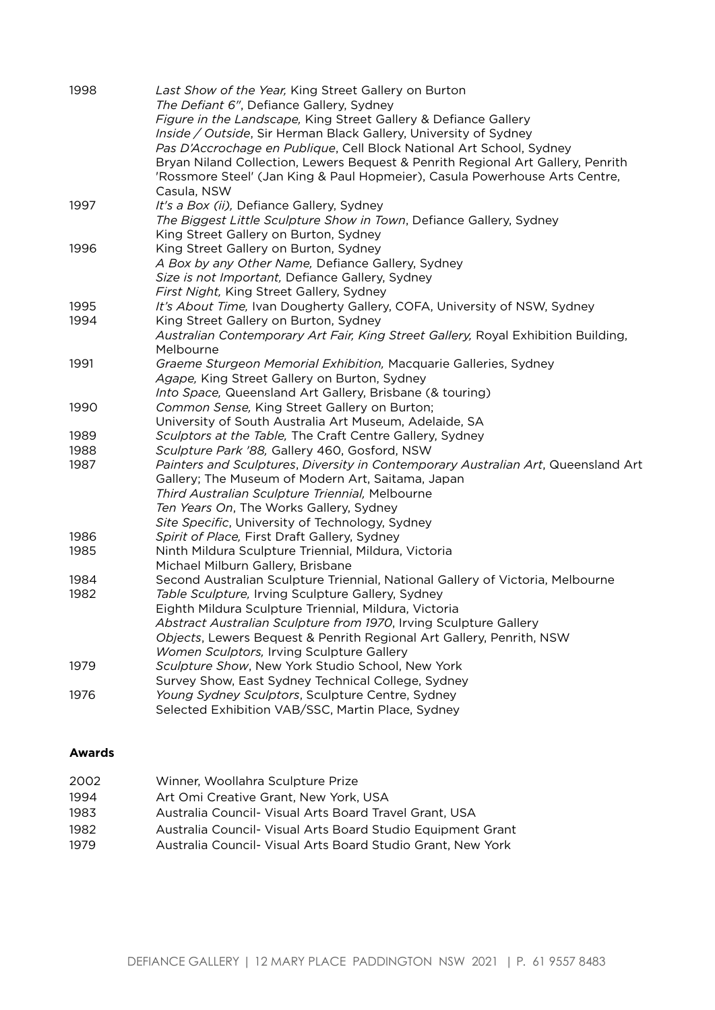| 1998         | Last Show of the Year, King Street Gallery on Burton<br>The Defiant 6", Defiance Gallery, Sydney<br>Figure in the Landscape, King Street Gallery & Defiance Gallery<br>Inside / Outside, Sir Herman Black Gallery, University of Sydney<br>Pas D'Accrochage en Publique, Cell Block National Art School, Sydney<br>Bryan Niland Collection, Lewers Bequest & Penrith Regional Art Gallery, Penrith<br>'Rossmore Steel' (Jan King & Paul Hopmeier), Casula Powerhouse Arts Centre, |
|--------------|-----------------------------------------------------------------------------------------------------------------------------------------------------------------------------------------------------------------------------------------------------------------------------------------------------------------------------------------------------------------------------------------------------------------------------------------------------------------------------------|
| 1997         | Casula, NSW<br>It's a Box (ii), Defiance Gallery, Sydney<br>The Biggest Little Sculpture Show in Town, Defiance Gallery, Sydney                                                                                                                                                                                                                                                                                                                                                   |
| 1996         | King Street Gallery on Burton, Sydney<br>King Street Gallery on Burton, Sydney<br>A Box by any Other Name, Defiance Gallery, Sydney<br>Size is not Important, Defiance Gallery, Sydney<br>First Night, King Street Gallery, Sydney                                                                                                                                                                                                                                                |
| 1995<br>1994 | It's About Time, Ivan Dougherty Gallery, COFA, University of NSW, Sydney<br>King Street Gallery on Burton, Sydney<br>Australian Contemporary Art Fair, King Street Gallery, Royal Exhibition Building,                                                                                                                                                                                                                                                                            |
| 1991         | Melbourne<br>Graeme Sturgeon Memorial Exhibition, Macquarie Galleries, Sydney<br>Agape, King Street Gallery on Burton, Sydney<br>Into Space, Queensland Art Gallery, Brisbane (& touring)                                                                                                                                                                                                                                                                                         |
| 1990         | Common Sense, King Street Gallery on Burton;<br>University of South Australia Art Museum, Adelaide, SA                                                                                                                                                                                                                                                                                                                                                                            |
| 1989         | Sculptors at the Table, The Craft Centre Gallery, Sydney                                                                                                                                                                                                                                                                                                                                                                                                                          |
| 1988         | Sculpture Park '88, Gallery 460, Gosford, NSW                                                                                                                                                                                                                                                                                                                                                                                                                                     |
| 1987         | Painters and Sculptures, Diversity in Contemporary Australian Art, Queensland Art<br>Gallery; The Museum of Modern Art, Saitama, Japan<br>Third Australian Sculpture Triennial, Melbourne<br>Ten Years On, The Works Gallery, Sydney<br>Site Specific, University of Technology, Sydney                                                                                                                                                                                           |
| 1986<br>1985 | Spirit of Place, First Draft Gallery, Sydney<br>Ninth Mildura Sculpture Triennial, Mildura, Victoria<br>Michael Milburn Gallery, Brisbane                                                                                                                                                                                                                                                                                                                                         |
| 1984         | Second Australian Sculpture Triennial, National Gallery of Victoria, Melbourne                                                                                                                                                                                                                                                                                                                                                                                                    |
| 1982         | Table Sculpture, Irving Sculpture Gallery, Sydney<br>Eighth Mildura Sculpture Triennial, Mildura, Victoria<br>Abstract Australian Sculpture from 1970, Irving Sculpture Gallery<br>Objects, Lewers Bequest & Penrith Regional Art Gallery, Penrith, NSW<br>Women Sculptors, Irving Sculpture Gallery                                                                                                                                                                              |
| 1979         | Sculpture Show, New York Studio School, New York<br>Survey Show, East Sydney Technical College, Sydney                                                                                                                                                                                                                                                                                                                                                                            |
| 1976         | Young Sydney Sculptors, Sculpture Centre, Sydney<br>Selected Exhibition VAB/SSC, Martin Place, Sydney                                                                                                                                                                                                                                                                                                                                                                             |

# **Awards**

| 2002 | Winner, Woollahra Sculpture Prize                           |
|------|-------------------------------------------------------------|
| 1994 | Art Omi Creative Grant, New York, USA                       |
| 1983 | Australia Council- Visual Arts Board Travel Grant, USA      |
| 1982 | Australia Council- Visual Arts Board Studio Equipment Grant |
| 1979 | Australia Council- Visual Arts Board Studio Grant, New York |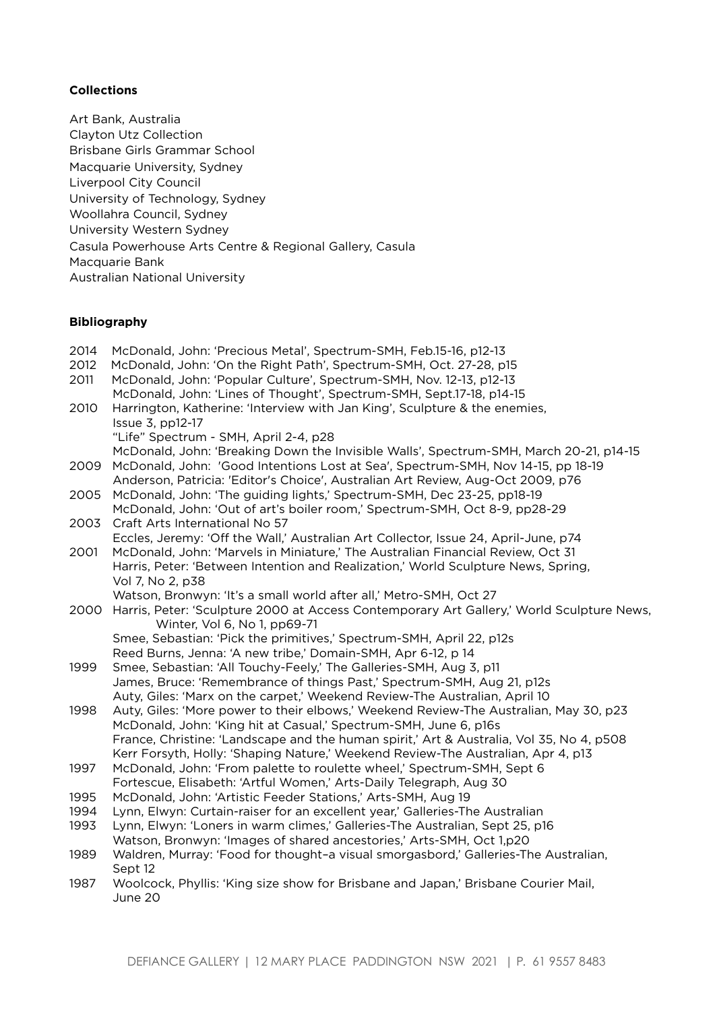## **Collections**

Art Bank, Australia Clayton Utz Collection Brisbane Girls Grammar School Macquarie University, Sydney Liverpool City Council University of Technology, Sydney Woollahra Council, Sydney University Western Sydney Casula Powerhouse Arts Centre & Regional Gallery, Casula Macquarie Bank Australian National University

### **Bibliography**

2014 McDonald, John: 'Precious Metal', Spectrum-SMH, Feb.15-16, p12-13 2012 McDonald, John: 'On the Right Path', Spectrum-SMH, Oct. 27-28, p15 2011 McDonald, John: 'Popular Culture', Spectrum-SMH, Nov. 12-13, p12-13 McDonald, John: 'Lines of Thought', Spectrum-SMH, Sept.17-18, p14-15 2010Harrington, Katherine: 'Interview with Jan King', Sculpture & the enemies, Issue 3, pp12-17 "Life" Spectrum - SMH, April 2-4, p28 McDonald, John: 'Breaking Down the Invisible Walls', Spectrum-SMH, March 20-21, p14-15 2009 McDonald, John: 'Good Intentions Lost at Sea', Spectrum-SMH, Nov 14-15, pp 18-19 Anderson, Patricia: 'Editor's Choice', Australian Art Review, Aug-Oct 2009, p76 2005 McDonald, John: 'The guiding lights,' Spectrum-SMH, Dec 23-25, pp18-19 McDonald, John: 'Out of art's boiler room,' Spectrum-SMH, Oct 8-9, pp28-29 2003 Craft Arts International No 57 Eccles, Jeremy: 'Off the Wall,' Australian Art Collector, Issue 24, April-June, p74 2001 McDonald, John: 'Marvels in Miniature,' The Australian Financial Review, Oct 31 Harris, Peter: 'Between Intention and Realization,' World Sculpture News, Spring, Vol 7, No 2, p38 Watson, Bronwyn: 'It's a small world after all,' Metro-SMH, Oct 27 2000 Harris, Peter: 'Sculpture 2000 at Access Contemporary Art Gallery,' World Sculpture News, Winter, Vol 6, No 1, pp69-71 Smee, Sebastian: 'Pick the primitives,' Spectrum-SMH, April 22, p12s Reed Burns, Jenna: 'A new tribe,' Domain-SMH, Apr 6-12, p 14 1999 Smee, Sebastian: 'All Touchy-Feely,' The Galleries-SMH, Aug 3, p11 James, Bruce: 'Remembrance of things Past,' Spectrum-SMH, Aug 21, p12s Auty, Giles: 'Marx on the carpet,' Weekend Review-The Australian, April 10 1998 Auty, Giles: 'More power to their elbows,' Weekend Review-The Australian, May 30, p23 McDonald, John: 'King hit at Casual,' Spectrum-SMH, June 6, p16s France, Christine: 'Landscape and the human spirit,' Art & Australia, Vol 35, No 4, p508 Kerr Forsyth, Holly: 'Shaping Nature,' Weekend Review-The Australian, Apr 4, p13 1997 McDonald, John: 'From palette to roulette wheel,' Spectrum-SMH, Sept 6 Fortescue, Elisabeth: 'Artful Women,' Arts-Daily Telegraph, Aug 30 1995 McDonald, John: 'Artistic Feeder Stations,' Arts-SMH, Aug 19 1994 Lynn, Elwyn: Curtain-raiser for an excellent year,' Galleries-The Australian 1993 Lynn, Elwyn: 'Loners in warm climes,' Galleries-The Australian, Sept 25, p16 Watson, Bronwyn: 'Images of shared ancestories,' Arts-SMH, Oct 1,p20 1989 Waldren, Murray: 'Food for thought–a visual smorgasbord,' Galleries-The Australian, Sept 12 1987 Woolcock, Phyllis: 'King size show for Brisbane and Japan,' Brisbane Courier Mail, June 20